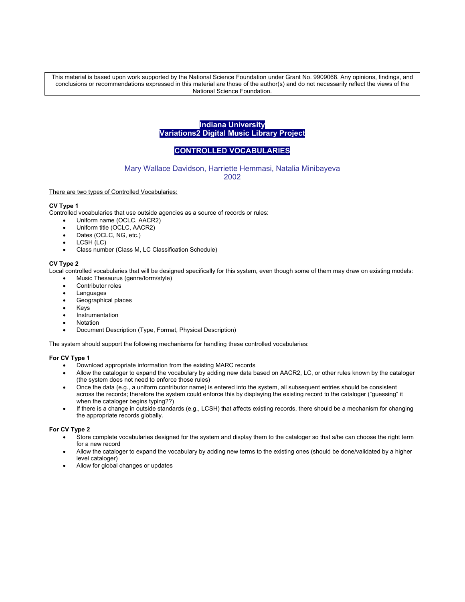This material is based upon work supported by the National Science Foundation under Grant No. 9909068. Any opinions, findings, and conclusions or recommendations expressed in this material are those of the author(s) and do not necessarily reflect the views of the National Science Foundation.

# **Indiana University Variations2 Digital Music Library Project**

# **CONTROLLED VOCABULARIES**

## Mary Wallace Davidson, Harriette Hemmasi, Natalia Minibayeva 2002

There are two types of Controlled Vocabularies:

### **CV Type 1**

Controlled vocabularies that use outside agencies as a source of records or rules:

- Uniform name (OCLC, AACR2)
- Uniform title (OCLC, AACR2)
- Dates (OCLC, NG, etc.)
- LCSH (LC)
- Class number (Class M, LC Classification Schedule)

### **CV Type 2**

Local controlled vocabularies that will be designed specifically for this system, even though some of them may draw on existing models:

- Music Thesaurus (genre/form/style)
- Contributor roles
- Languages
- Geographical places
- Keys
- **Instrumentation**
- **Notation**
- Document Description (Type, Format, Physical Description)

The system should support the following mechanisms for handling these controlled vocabularies:

# **For CV Type 1**

- Download appropriate information from the existing MARC records
- Allow the cataloger to expand the vocabulary by adding new data based on AACR2, LC, or other rules known by the cataloger (the system does not need to enforce those rules)
- Once the data (e.g., a uniform contributor name) is entered into the system, all subsequent entries should be consistent across the records; therefore the system could enforce this by displaying the existing record to the cataloger ("guessing" it when the cataloger begins typing??)
- If there is a change in outside standards (e.g., LCSH) that affects existing records, there should be a mechanism for changing the appropriate records globally.

### **For CV Type 2**

- Store complete vocabularies designed for the system and display them to the cataloger so that s/he can choose the right term for a new record
- Allow the cataloger to expand the vocabulary by adding new terms to the existing ones (should be done/validated by a higher level cataloger)
- Allow for global changes or updates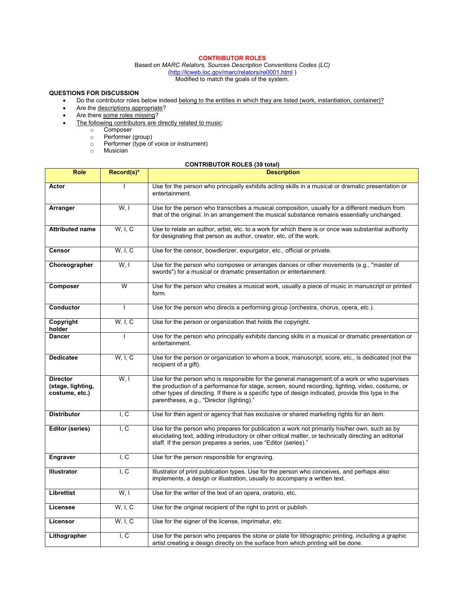# **CONTRIBUTOR ROLES**

Based on *MARC Relators, Sources Description Conventions Codes (LC)*  (http://lcweb.loc.gov/marc/relators/re0001.html ) Modified to match the goals of the system.

# **QUESTIONS FOR DISCUSSION**

- Do the contributor roles below indeed belong to the entities in which they are listed (work, instantiation, container)?
- Are the descriptions appropriate?
- Are there some roles missing?
- The following contributors are directly related to music:
	- o Composer
	- o Performer (group)
	- o Performer (type of voice or instrument)
	- o Musician

# **CONTRIBUTOR ROLES (39 total)**

| <b>Role</b>                                            | Record(s)*                                                                                                                                                                                                                                                                      | CONTRIBUTOR ROLES (39 IUIAI)<br><b>Description</b>                                                                                                                                                                                                                                                                                                   |  |
|--------------------------------------------------------|---------------------------------------------------------------------------------------------------------------------------------------------------------------------------------------------------------------------------------------------------------------------------------|------------------------------------------------------------------------------------------------------------------------------------------------------------------------------------------------------------------------------------------------------------------------------------------------------------------------------------------------------|--|
| Actor                                                  | ı                                                                                                                                                                                                                                                                               | Use for the person who principally exhibits acting skills in a musical or dramatic presentation or                                                                                                                                                                                                                                                   |  |
|                                                        |                                                                                                                                                                                                                                                                                 | entertainment.                                                                                                                                                                                                                                                                                                                                       |  |
| Arranger                                               | W, I                                                                                                                                                                                                                                                                            | Use for the person who transcribes a musical composition, usually for a different medium from<br>that of the original. In an arrangement the musical substance remains essentially unchanged.                                                                                                                                                        |  |
| <b>Attributed name</b>                                 | W, I, C                                                                                                                                                                                                                                                                         | Use to relate an author, artist, etc. to a work for which there is or once was substantial authority<br>for designating that person as author, creator, etc. of the work.                                                                                                                                                                            |  |
| <b>Censor</b>                                          | W. I. C                                                                                                                                                                                                                                                                         | Use for the censor, bowdlerizer, expurgator, etc., official or private.                                                                                                                                                                                                                                                                              |  |
| Choreographer                                          | W, I                                                                                                                                                                                                                                                                            | Use for the person who composes or arranges dances or other movements (e.g., "master of<br>swords") for a musical or dramatic presentation or entertainment.                                                                                                                                                                                         |  |
| Composer                                               | W                                                                                                                                                                                                                                                                               | Use for the person who creates a musical work, usually a piece of music in manuscript or printed<br>form.                                                                                                                                                                                                                                            |  |
| Conductor                                              | $\mathbf{I}$                                                                                                                                                                                                                                                                    | Use for the person who directs a performing group (orchestra, chorus, opera, etc.).                                                                                                                                                                                                                                                                  |  |
| Copyright<br>holder                                    |                                                                                                                                                                                                                                                                                 | W, I, C<br>Use for the person or organization that holds the copyright.                                                                                                                                                                                                                                                                              |  |
| <b>Dancer</b>                                          |                                                                                                                                                                                                                                                                                 | Use for the person who principally exhibits dancing skills in a musical or dramatic presentation or<br>entertainment.                                                                                                                                                                                                                                |  |
| <b>Dedicatee</b>                                       | W, I, C                                                                                                                                                                                                                                                                         | Use for the person or organization to whom a book, manuscript, score, etc., is dedicated (not the<br>recipient of a gift).                                                                                                                                                                                                                           |  |
| <b>Director</b><br>(stage, lighting,<br>costume, etc.) | W.I                                                                                                                                                                                                                                                                             | Use for the person who is responsible for the general management of a work or who supervises<br>the production of a performance for stage, screen, sound recording, lighting, video, costume, or<br>other types of directing. If there is a specific type of design indicated, provide this type in the<br>parentheses, e.g., "Director (lighting)." |  |
| <b>Distributor</b>                                     | I, C                                                                                                                                                                                                                                                                            | Use for then agent or agency that has exclusive or shared marketing rights for an item.                                                                                                                                                                                                                                                              |  |
| Editor (series)                                        | I, C<br>Use for the person who prepares for publication a work not primarily his/her own, such as by<br>elucidating text, adding introductory or other critical matter, or technically directing an editorial<br>staff. If the person prepares a series, use "Editor (series)." |                                                                                                                                                                                                                                                                                                                                                      |  |
| <b>Engraver</b>                                        | I, C                                                                                                                                                                                                                                                                            | Use for the person responsible for engraving.                                                                                                                                                                                                                                                                                                        |  |
| <b>Illustrator</b>                                     | I, C                                                                                                                                                                                                                                                                            | Illustrator of print publication types. Use for the person who conceives, and perhaps also<br>implements, a design or illustration, usually to accompany a written text.                                                                                                                                                                             |  |
| Librettist                                             | W, I                                                                                                                                                                                                                                                                            | Use for the writer of the text of an opera, oratorio, etc.                                                                                                                                                                                                                                                                                           |  |
| Licensee                                               | W. I. C                                                                                                                                                                                                                                                                         | Use for the original recipient of the right to print or publish.                                                                                                                                                                                                                                                                                     |  |
| Licensor                                               | W, I, C                                                                                                                                                                                                                                                                         | Use for the signer of the license, imprimatur, etc.                                                                                                                                                                                                                                                                                                  |  |
| Lithographer                                           | I, C                                                                                                                                                                                                                                                                            | Use for the person who prepares the stone or plate for lithographic printing, including a graphic<br>artist creating a design directly on the surface from which printing will be done.                                                                                                                                                              |  |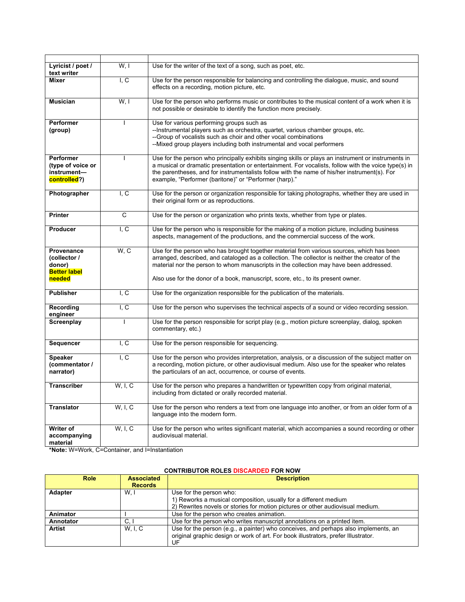| Lyricist / poet /<br>text writer                                      | W, I              | Use for the writer of the text of a song, such as poet, etc.                                                                                                                                                                                                                                                                                                               |  |  |
|-----------------------------------------------------------------------|-------------------|----------------------------------------------------------------------------------------------------------------------------------------------------------------------------------------------------------------------------------------------------------------------------------------------------------------------------------------------------------------------------|--|--|
| <b>Mixer</b>                                                          | I, C              | Use for the person responsible for balancing and controlling the dialogue, music, and sound<br>effects on a recording, motion picture, etc.                                                                                                                                                                                                                                |  |  |
| <b>Musician</b>                                                       | W, I              | Use for the person who performs music or contributes to the musical content of a work when it is<br>not possible or desirable to identify the function more precisely.                                                                                                                                                                                                     |  |  |
| <b>Performer</b><br>(group)                                           | I.                | Use for various performing groups such as<br>--Instrumental players such as orchestra, quartet, various chamber groups, etc.<br>--Group of vocalists such as choir and other vocal combinations<br>--Mixed group players including both instrumental and vocal performers                                                                                                  |  |  |
| <b>Performer</b><br>(type of voice or<br>instrument-<br>controlled?)  |                   | Use for the person who principally exhibits singing skills or plays an instrument or instruments in<br>a musical or dramatic presentation or entertainment. For vocalists, follow with the voice type(s) in<br>the parentheses, and for instrumentalists follow with the name of his/her instrument(s). For<br>example, "Performer (baritone)" or "Performer (harp)."      |  |  |
| Photographer                                                          | I, C              | Use for the person or organization responsible for taking photographs, whether they are used in<br>their original form or as reproductions.                                                                                                                                                                                                                                |  |  |
| <b>Printer</b>                                                        | C                 | Use for the person or organization who prints texts, whether from type or plates.                                                                                                                                                                                                                                                                                          |  |  |
| <b>Producer</b>                                                       | $\overline{I, C}$ | Use for the person who is responsible for the making of a motion picture, including business<br>aspects, management of the productions, and the commercial success of the work.                                                                                                                                                                                            |  |  |
| Provenance<br>(collector /<br>donor)<br><b>Better label</b><br>needed | W, C              | Use for the person who has brought together material from various sources, which has been<br>arranged, described, and cataloged as a collection. The collector is neither the creator of the<br>material nor the person to whom manuscripts in the collection may have been addressed.<br>Also use for the donor of a book, manuscript, score, etc., to its present owner. |  |  |
| <b>Publisher</b>                                                      | $L_{\rm C}$       | Use for the organization responsible for the publication of the materials.                                                                                                                                                                                                                                                                                                 |  |  |
| Recording<br>engineer                                                 | $L_{\rm C}$       | Use for the person who supervises the technical aspects of a sound or video recording session.                                                                                                                                                                                                                                                                             |  |  |
| Screenplay                                                            |                   | Use for the person responsible for script play (e.g., motion picture screenplay, dialog, spoken<br>commentary, etc.)                                                                                                                                                                                                                                                       |  |  |
| Sequencer                                                             | I, C              | Use for the person responsible for sequencing.                                                                                                                                                                                                                                                                                                                             |  |  |
| <b>Speaker</b><br>(commentator /<br>narrator)                         | I, C              | Use for the person who provides interpretation, analysis, or a discussion of the subject matter on<br>a recording, motion picture, or other audiovisual medium. Also use for the speaker who relates<br>the particulars of an act, occurrence, or course of events.                                                                                                        |  |  |
| <b>Transcriber</b>                                                    | W, I, C           | Use for the person who prepares a handwritten or typewritten copy from original material,<br>including from dictated or orally recorded material.                                                                                                                                                                                                                          |  |  |
| <b>Translator</b>                                                     | W, I, C           | Use for the person who renders a text from one language into another, or from an older form of a<br>language into the modern form.                                                                                                                                                                                                                                         |  |  |
| Writer of<br>accompanying<br>material                                 | W, I, C           | Use for the person who writes significant material, which accompanies a sound recording or other<br>audiovisual material.                                                                                                                                                                                                                                                  |  |  |

**\*Note:** W=Work, C=Container, and I=Instantiation

# **CONTRIBUTOR ROLES DISCARDED FOR NOW**

| <b>Role</b>    | <b>Associated</b><br><b>Records</b> | <b>Description</b>                                                                                                                                                              |  |
|----------------|-------------------------------------|---------------------------------------------------------------------------------------------------------------------------------------------------------------------------------|--|
| <b>Adapter</b> | W.I                                 | Use for the person who:                                                                                                                                                         |  |
|                |                                     | 1) Reworks a musical composition, usually for a different medium                                                                                                                |  |
|                |                                     | 2) Rewrites novels or stories for motion pictures or other audiovisual medium.                                                                                                  |  |
| Animator       |                                     | Use for the person who creates animation.                                                                                                                                       |  |
| Annotator      | C.I                                 | Use for the person who writes manuscript annotations on a printed item.                                                                                                         |  |
| <b>Artist</b>  | W, I, C                             | Use for the person (e.g., a painter) who conceives, and perhaps also implements, an<br>original graphic design or work of art. For book illustrators, prefer Illustrator.<br>UF |  |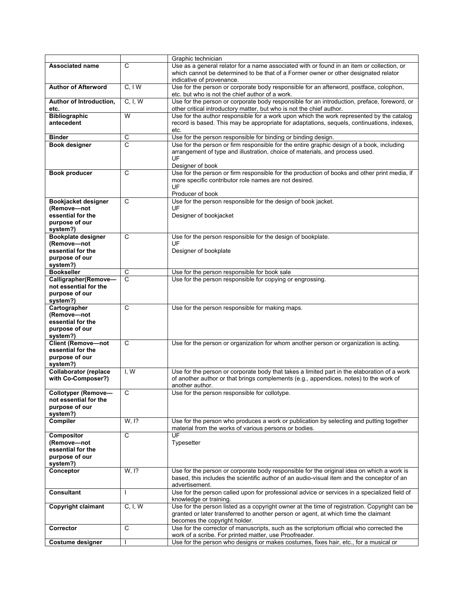|                                                    |                     | Graphic technician                                                                                                                                                                   |  |
|----------------------------------------------------|---------------------|--------------------------------------------------------------------------------------------------------------------------------------------------------------------------------------|--|
| <b>Associated name</b>                             | C                   | Use as a general relator for a name associated with or found in an item or collection, or                                                                                            |  |
|                                                    |                     | which cannot be determined to be that of a Former owner or other designated relator                                                                                                  |  |
|                                                    |                     | indicative of provenance.                                                                                                                                                            |  |
| <b>Author of Afterword</b>                         | C, I W              | Use for the person or corporate body responsible for an afterword, postface, colophon,<br>etc. but who is not the chief author of a work.                                            |  |
| Author of Introduction,<br>etc.                    | C, I, W             | Use for the person or corporate body responsible for an introduction, preface, foreword, or<br>other critical introductory matter, but who is not the chief author.                  |  |
| <b>Bibliographic</b>                               | W                   | Use for the author responsible for a work upon which the work represented by the catalog                                                                                             |  |
| antecedent                                         |                     | record is based. This may be appropriate for adaptations, sequels, continuations, indexes,<br>etc.                                                                                   |  |
| <b>Binder</b>                                      | C                   | Use for the person responsible for binding or binding design.                                                                                                                        |  |
| <b>Book designer</b>                               | C                   | Use for the person or firm responsible for the entire graphic design of a book, including                                                                                            |  |
|                                                    |                     | arrangement of type and illustration, choice of materials, and process used.                                                                                                         |  |
|                                                    |                     | UF                                                                                                                                                                                   |  |
| Book producer                                      | C                   | Designer of book<br>Use for the person or firm responsible for the production of books and other print media, if                                                                     |  |
|                                                    |                     | more specific contributor role names are not desired.                                                                                                                                |  |
|                                                    |                     | UF                                                                                                                                                                                   |  |
|                                                    |                     | Producer of book                                                                                                                                                                     |  |
| Bookjacket designer                                | C                   | Use for the person responsible for the design of book jacket.                                                                                                                        |  |
| (Remove-not                                        |                     | UF                                                                                                                                                                                   |  |
| essential for the                                  |                     | Designer of bookjacket                                                                                                                                                               |  |
| purpose of our<br>system?)                         |                     |                                                                                                                                                                                      |  |
| <b>Bookplate designer</b>                          | C                   | Use for the person responsible for the design of bookplate.                                                                                                                          |  |
| (Remove-not                                        |                     | UF                                                                                                                                                                                   |  |
| essential for the                                  |                     | Designer of bookplate                                                                                                                                                                |  |
| purpose of our                                     |                     |                                                                                                                                                                                      |  |
| system?)<br><b>Bookseller</b>                      |                     |                                                                                                                                                                                      |  |
|                                                    | C<br>$\overline{c}$ | Use for the person responsible for book sale<br>Use for the person responsible for copying or engrossing.                                                                            |  |
| Calligrapher(Remove-<br>not essential for the      |                     |                                                                                                                                                                                      |  |
| purpose of our                                     |                     |                                                                                                                                                                                      |  |
| system?)                                           |                     |                                                                                                                                                                                      |  |
| Cartographer                                       | C                   | Use for the person responsible for making maps.                                                                                                                                      |  |
| (Remove-not                                        |                     |                                                                                                                                                                                      |  |
| essential for the                                  |                     |                                                                                                                                                                                      |  |
| purpose of our<br>system?)                         |                     |                                                                                                                                                                                      |  |
| <b>Client (Remove-not</b>                          | C                   | Use for the person or organization for whom another person or organization is acting.                                                                                                |  |
| essential for the                                  |                     |                                                                                                                                                                                      |  |
| purpose of our                                     |                     |                                                                                                                                                                                      |  |
| system?)                                           |                     |                                                                                                                                                                                      |  |
| <b>Collaborator (replace</b><br>with Co-Composer?) | I, W                | Use for the person or corporate body that takes a limited part in the elaboration of a work<br>of another author or that brings complements (e.g., appendices, notes) to the work of |  |
|                                                    |                     | another author.                                                                                                                                                                      |  |
| <b>Collotyper (Remove-</b>                         | C                   | Use for the person responsible for collotype.                                                                                                                                        |  |
| not essential for the                              |                     |                                                                                                                                                                                      |  |
| purpose of our                                     |                     |                                                                                                                                                                                      |  |
| system?)<br><b>Compiler</b>                        | W, I?               |                                                                                                                                                                                      |  |
|                                                    |                     | Use for the person who produces a work or publication by selecting and putting together<br>material from the works of various persons or bodies.                                     |  |
| Compositor                                         | $\overline{c}$      | UF                                                                                                                                                                                   |  |
| (Remove-not                                        |                     | Typesetter                                                                                                                                                                           |  |
| essential for the                                  |                     |                                                                                                                                                                                      |  |
| purpose of our                                     |                     |                                                                                                                                                                                      |  |
| system?)<br>Conceptor                              | W, I?               | Use for the person or corporate body responsible for the original idea on which a work is                                                                                            |  |
|                                                    |                     | based, this includes the scientific author of an audio-visual item and the conceptor of an<br>advertisement.                                                                         |  |
| <b>Consultant</b>                                  |                     | Use for the person called upon for professional advice or services in a specialized field of<br>knowledge or training.                                                               |  |
| <b>Copyright claimant</b>                          | C, I, W             | Use for the person listed as a copyright owner at the time of registration. Copyright can be                                                                                         |  |
|                                                    |                     | granted or later transferred to another person or agent, at which time the claimant                                                                                                  |  |
|                                                    |                     | becomes the copyright holder.                                                                                                                                                        |  |
| Corrector                                          | C                   | Use for the corrector of manuscripts, such as the scriptorium official who corrected the<br>work of a scribe. For printed matter, use Proofreader.                                   |  |
| <b>Costume designer</b>                            |                     | Use for the person who designs or makes costumes, fixes hair, etc., for a musical or                                                                                                 |  |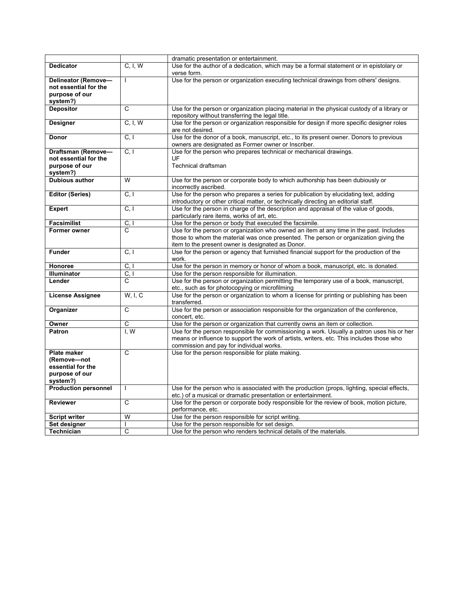|                             |                                                                                                                   | dramatic presentation or entertainment.                                                     |  |
|-----------------------------|-------------------------------------------------------------------------------------------------------------------|---------------------------------------------------------------------------------------------|--|
| <b>Dedicator</b>            |                                                                                                                   |                                                                                             |  |
|                             | Use for the author of a dedication, which may be a formal statement or in epistolary or<br>C, I, W<br>verse form. |                                                                                             |  |
|                             |                                                                                                                   |                                                                                             |  |
| Delineator (Remove-         | T                                                                                                                 | Use for the person or organization executing technical drawings from others' designs.       |  |
| not essential for the       |                                                                                                                   |                                                                                             |  |
| purpose of our              |                                                                                                                   |                                                                                             |  |
| system?)                    |                                                                                                                   |                                                                                             |  |
| <b>Depositor</b>            | $\mathsf{C}$                                                                                                      | Use for the person or organization placing material in the physical custody of a library or |  |
|                             |                                                                                                                   | repository without transferring the legal title.                                            |  |
|                             |                                                                                                                   |                                                                                             |  |
| Designer                    | C, I, W                                                                                                           | Use for the person or organization responsible for design if more specific designer roles   |  |
|                             |                                                                                                                   | are not desired.                                                                            |  |
| Donor                       | C, I                                                                                                              | Use for the donor of a book, manuscript, etc., to its present owner. Donors to previous     |  |
|                             |                                                                                                                   | owners are designated as Former owner or Inscriber.                                         |  |
| Draftsman (Remove-          | C, I                                                                                                              | Use for the person who prepares technical or mechanical drawings.                           |  |
| not essential for the       |                                                                                                                   | UF                                                                                          |  |
| purpose of our              |                                                                                                                   | Technical draftsman                                                                         |  |
| system?)                    |                                                                                                                   |                                                                                             |  |
| Dubious author              | W                                                                                                                 | Use for the person or corporate body to which authorship has been dubiously or              |  |
|                             |                                                                                                                   |                                                                                             |  |
|                             |                                                                                                                   | incorrectly ascribed.                                                                       |  |
| <b>Editor (Series)</b>      | C, I                                                                                                              | Use for the person who prepares a series for publication by elucidating text, adding        |  |
|                             |                                                                                                                   | introductory or other critical matter, or technically directing an editorial staff.         |  |
| <b>Expert</b>               | C, I                                                                                                              | Use for the person in charge of the description and appraisal of the value of goods,        |  |
|                             |                                                                                                                   | particularly rare items, works of art, etc.                                                 |  |
| <b>Facsimilist</b>          | C, I                                                                                                              | Use for the person or body that executed the facsimile.                                     |  |
| <b>Former owner</b>         | C                                                                                                                 | Use for the person or organization who owned an item at any time in the past. Includes      |  |
|                             |                                                                                                                   | those to whom the material was once presented. The person or organization giving the        |  |
|                             |                                                                                                                   | item to the present owner is designated as Donor.                                           |  |
|                             |                                                                                                                   |                                                                                             |  |
| <b>Funder</b>               | C, I                                                                                                              | Use for the person or agency that furnished financial support for the production of the     |  |
|                             |                                                                                                                   | work.                                                                                       |  |
| Honoree                     | C, I                                                                                                              | Use for the person in memory or honor of whom a book, manuscript, etc. is donated.          |  |
| Illuminator                 | C, I                                                                                                              | Use for the person responsible for illumination.                                            |  |
| Lender                      | C                                                                                                                 | Use for the person or organization permitting the temporary use of a book, manuscript,      |  |
|                             |                                                                                                                   | etc., such as for photocopying or microfilming                                              |  |
| <b>License Assignee</b>     | W, I, C                                                                                                           | Use for the person or organization to whom a license for printing or publishing has been    |  |
|                             |                                                                                                                   | transferred.                                                                                |  |
| Organizer                   | C                                                                                                                 | Use for the person or association responsible for the organization of the conference,       |  |
|                             |                                                                                                                   | concert, etc.                                                                               |  |
|                             | $\mathsf{C}$                                                                                                      |                                                                                             |  |
| Owner                       |                                                                                                                   | Use for the person or organization that currently owns an item or collection.               |  |
| Patron                      | I. W                                                                                                              | Use for the person responsible for commissioning a work. Usually a patron uses his or her   |  |
|                             |                                                                                                                   | means or influence to support the work of artists, writers, etc. This includes those who    |  |
|                             |                                                                                                                   | commission and pay for individual works.                                                    |  |
| <b>Plate maker</b>          | C                                                                                                                 | Use for the person responsible for plate making.                                            |  |
| (Remove-not                 |                                                                                                                   |                                                                                             |  |
| essential for the           |                                                                                                                   |                                                                                             |  |
| purpose of our              |                                                                                                                   |                                                                                             |  |
| system?)                    |                                                                                                                   |                                                                                             |  |
|                             | $\mathbf{I}$                                                                                                      |                                                                                             |  |
| <b>Production personnel</b> |                                                                                                                   | Use for the person who is associated with the production (props, lighting, special effects, |  |
|                             |                                                                                                                   | etc.) of a musical or dramatic presentation or entertainment.                               |  |
| <b>Reviewer</b>             | C                                                                                                                 | Use for the person or corporate body responsible for the review of book, motion picture,    |  |
|                             |                                                                                                                   | performance, etc.                                                                           |  |
| <b>Script writer</b>        | W                                                                                                                 | Use for the person responsible for script writing.                                          |  |
| Set designer                | $\mathbf{I}$                                                                                                      | Use for the person responsible for set design.                                              |  |
| <b>Technician</b>           | $\overline{c}$                                                                                                    | Use for the person who renders technical details of the materials.                          |  |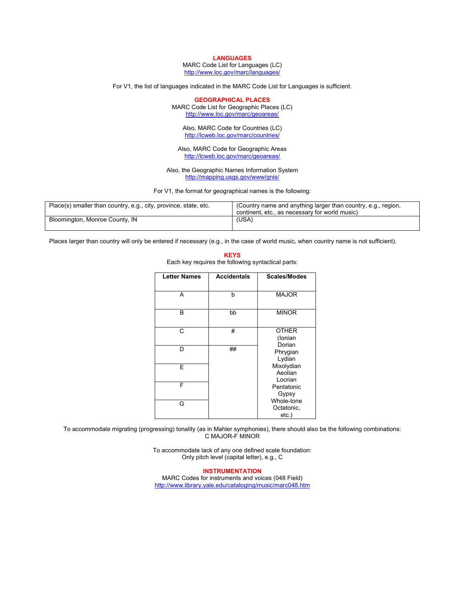#### **LANGUAGES**

MARC Code List for Languages (LC) http://www.loc.gov/marc/languages/

For V1, the list of languages indicated in the MARC Code List for Languages is sufficient.

**GEOGRAPHICAL PLACES** 

MARC Code List for Geographic Places (LC) http://www.loc.gov/marc/geoareas/

Also, MARC Code for Countries (LC) http://lcweb.loc.gov/marc/countries/

Also, MARC Code for Geographic Areas http://lcweb.loc.gov/marc/geoareas/

Also, the Geographic Names Information System http://mapping.usgs.gov/www/gnis/

For V1, the format for geographical names is the following:

| Place(s) smaller than country, e.g., city, province, state, etc. | (Country name and anything larger than country, e.g., region,<br>continent, etc., as necessary for world music) |
|------------------------------------------------------------------|-----------------------------------------------------------------------------------------------------------------|
| Bloomington, Monroe County, IN                                   | (USA)                                                                                                           |

**KEYS**

Places larger than country will only be entered if necessary (e.g., in the case of world music, when country name is not sufficient).

| Each key requires the following syntactical parts: |                    |                                      |  |
|----------------------------------------------------|--------------------|--------------------------------------|--|
| <b>Letter Names</b>                                | <b>Accidentals</b> | <b>Scales/Modes</b>                  |  |
| А                                                  | b                  | <b>MAJOR</b>                         |  |
| B                                                  | bb                 | <b>MINOR</b>                         |  |
| C                                                  | #                  | <b>OTHER</b><br>(Ionian<br>Dorian    |  |
| D                                                  | ##                 | Phrygian<br>Lydian                   |  |
| E                                                  |                    | Mixolydian<br>Aeolian<br>Locrian     |  |
| F                                                  |                    | Pentatonic<br>Gypsy                  |  |
| G                                                  |                    | Whole-tone<br>Octatonic,<br>$etc.$ ) |  |

To accommodate migrating (progressing) tonality (as in Mahler symphonies), there should also be the following combinations: C MAJOR-F MINOR

> To accommodate lack of any one defined scale foundation: Only pitch level (capital letter), e.g., C

**INSTRUMENTATION** MARC Codes for instruments and voices (048 Field) http://www.library.yale.edu/cataloging/music/marc048.htm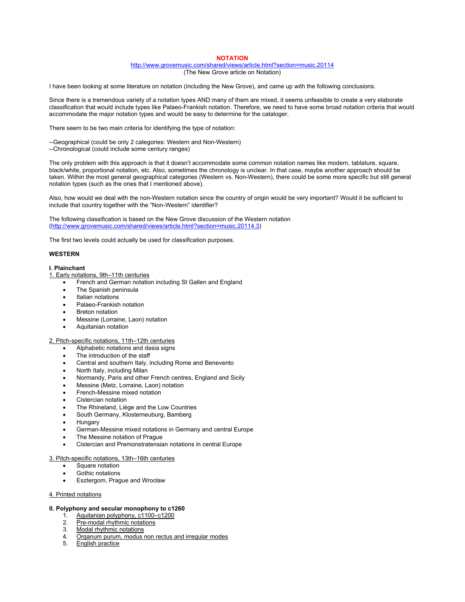#### **NOTATION**

#### http://www.grovemusic.com/shared/views/article.html?section=music.20114 (The New Grove article on Notation)

I have been looking at some literature on notation (including the New Grove), and came up with the following conclusions.

Since there is a tremendous variety of a notation types AND many of them are mixed, it seems unfeasible to create a very elaborate classification that would include types like Palaeo-Frankish notation. Therefore, we need to have some broad notation criteria that would accommodate the major notation types and would be easy to determine for the cataloger.

There seem to be two main criteria for identifying the type of notation:

- --Geographical (could be only 2 categories: Western and Non-Western)
- --Chronological (could include some century ranges)

The only problem with this approach is that it doesn't accommodate some common notation names like modern, tablature, square, black/white, proportional notation, etc. Also, sometimes the chronology is unclear. In that case, maybe another approach should be taken. Within the most general geographical categories (Western vs. Non-Western), there could be some more specific but still general notation types (such as the ones that I mentioned above).

Also, how would we deal with the non-Western notation since the country of origin would be very important? Would it be sufficient to include that country together with the "Non-Western" identifier?

The following classification is based on the New Grove discussion of the Western notation (http://www.grovemusic.com/shared/views/article.html?section=music.20114.3)

The first two levels could actually be used for classification purposes.

#### **WESTERN**

#### **I. Plainchant**

#### 1. Early notations, 9th–11th centuries

- French and German notation including St Gallen and England
- The Spanish peninsula
- Italian notations
- Palaeo-Frankish notation
- Breton notation
- Messine (Lorraine, Laon) notation
- Aquitanian notation

#### 2. Pitch-specific notations, 11th–12th centuries

- Alphabetic notations and dasia signs
- The introduction of the staff
- Central and southern Italy, including Rome and Benevento
- North Italy, including Milan
- Normandy, Paris and other French centres, England and Sicily
- Messine (Metz, Lorraine, Laon) notation
- French-Messine mixed notation
- Cistercian notation
- The Rhineland, Liège and the Low Countries
- South Germany, Klosterneuburg, Bamberg
- Hungary
- German-Messine mixed notations in Germany and central Europe
- The Messine notation of Praque
- Cistercian and Premonstratensian notations in central Europe

#### 3. Pitch-specific notations, 13th–16th centuries

- Square notation
- Gothic notations
- Esztergom, Prague and Wrocław

#### 4. Printed notations

## **II. Polyphony and secular monophony to c1260**

- 1. Aguitanian polyphony, c1100–c1200<br>2. Pre-modal rhythmic notations
- Pre-modal rhythmic notations
- 3. Modal rhythmic notations
- 4. Organum purum, modus non rectus and irregular modes
- 5. English practice